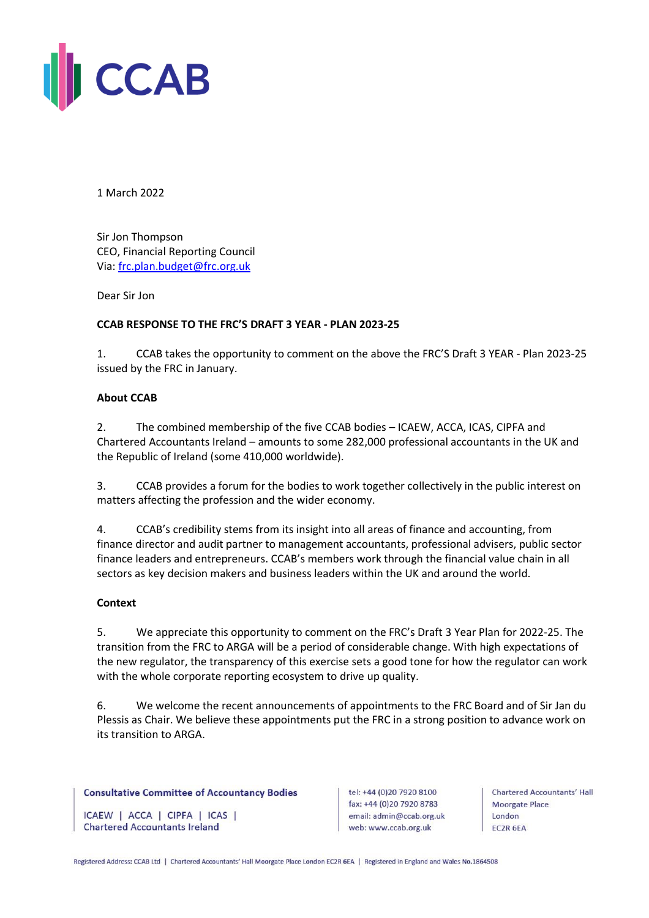

1 March 2022

Sir Jon Thompson CEO, Financial Reporting Council Via: [frc.plan.budget@frc.org.uk](mailto:frc.plan.budget@frc.org.uk)

Dear Sir Jon

# **CCAB RESPONSE TO THE FRC'S DRAFT 3 YEAR - PLAN 2023-25**

1. CCAB takes the opportunity to comment on the above the FRC'S Draft 3 YEAR - Plan 2023-25 issued by the FRC in January.

## **About CCAB**

2. The combined membership of the five CCAB bodies – ICAEW, ACCA, ICAS, CIPFA and Chartered Accountants Ireland – amounts to some 282,000 professional accountants in the UK and the Republic of Ireland (some 410,000 worldwide).

3. CCAB provides a forum for the bodies to work together collectively in the public interest on matters affecting the profession and the wider economy.

4. CCAB's credibility stems from its insight into all areas of finance and accounting, from finance director and audit partner to management accountants, professional advisers, public sector finance leaders and entrepreneurs. CCAB's members work through the financial value chain in all sectors as key decision makers and business leaders within the UK and around the world.

### **Context**

5. We appreciate this opportunity to comment on the FRC's Draft 3 Year Plan for 2022-25. The transition from the FRC to ARGA will be a period of considerable change. With high expectations of the new regulator, the transparency of this exercise sets a good tone for how the regulator can work with the whole corporate reporting ecosystem to drive up quality.

6. We welcome the recent announcements of appointments to the FRC Board and of Sir Jan du Plessis as Chair. We believe these appointments put the FRC in a strong position to advance work on its transition to ARGA.

### **Consultative Committee of Accountancy Bodies**

ICAEW | ACCA | CIPFA | ICAS | **Chartered Accountants Ireland** 

tel: +44 (0)20 7920 8100 fax: +44 (0)20 7920 8783 email: admin@ccab.org.uk web: www.ccab.org.uk

**Chartered Accountants' Hall Moorgate Place** London EC2R 6EA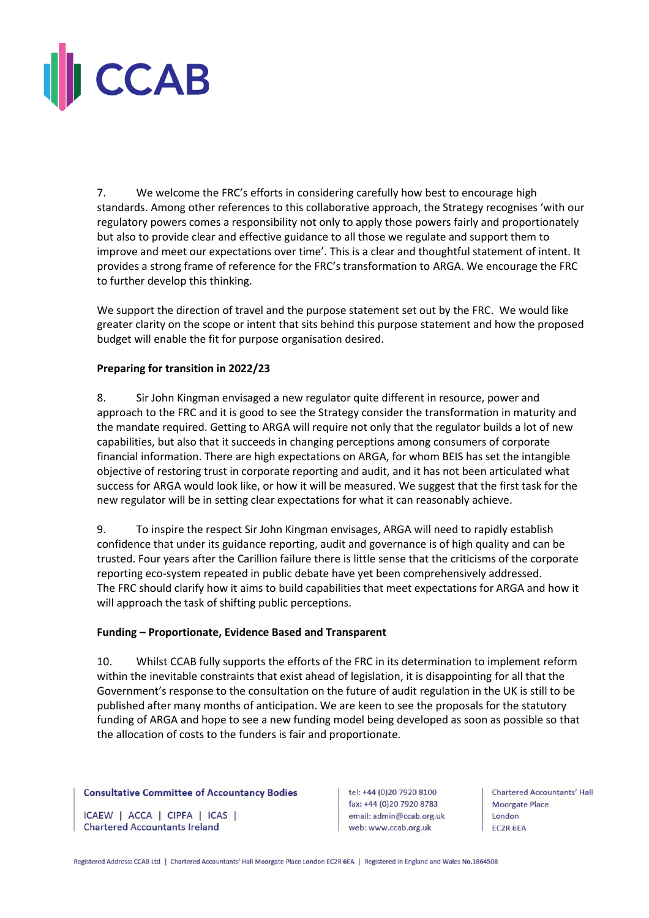

7. We welcome the FRC's efforts in considering carefully how best to encourage high standards. Among other references to this collaborative approach, the Strategy recognises 'with our regulatory powers comes a responsibility not only to apply those powers fairly and proportionately but also to provide clear and effective guidance to all those we regulate and support them to improve and meet our expectations over time'. This is a clear and thoughtful statement of intent. It provides a strong frame of reference for the FRC's transformation to ARGA. We encourage the FRC to further develop this thinking.

We support the direction of travel and the purpose statement set out by the FRC. We would like greater clarity on the scope or intent that sits behind this purpose statement and how the proposed budget will enable the fit for purpose organisation desired.

# **Preparing for transition in 2022/23**

8. Sir John Kingman envisaged a new regulator quite different in resource, power and approach to the FRC and it is good to see the Strategy consider the transformation in maturity and the mandate required. Getting to ARGA will require not only that the regulator builds a lot of new capabilities, but also that it succeeds in changing perceptions among consumers of corporate financial information. There are high expectations on ARGA, for whom BEIS has set the intangible objective of restoring trust in corporate reporting and audit, and it has not been articulated what success for ARGA would look like, or how it will be measured. We suggest that the first task for the new regulator will be in setting clear expectations for what it can reasonably achieve.

9. To inspire the respect Sir John Kingman envisages, ARGA will need to rapidly establish confidence that under its guidance reporting, audit and governance is of high quality and can be trusted. Four years after the Carillion failure there is little sense that the criticisms of the corporate reporting eco-system repeated in public debate have yet been comprehensively addressed. The FRC should clarify how it aims to build capabilities that meet expectations for ARGA and how it will approach the task of shifting public perceptions.

### **Funding – Proportionate, Evidence Based and Transparent**

10. Whilst CCAB fully supports the efforts of the FRC in its determination to implement reform within the inevitable constraints that exist ahead of legislation, it is disappointing for all that the Government's response to the consultation on the future of audit regulation in the UK is still to be published after many months of anticipation. We are keen to see the proposals for the statutory funding of ARGA and hope to see a new funding model being developed as soon as possible so that the allocation of costs to the funders is fair and proportionate.

### **Consultative Committee of Accountancy Bodies**

ICAEW | ACCA | CIPFA | ICAS | **Chartered Accountants Ireland** 

tel: +44 (0)20 7920 8100 fax: +44 (0)20 7920 8783 email: admin@ccab.org.uk web: www.ccab.org.uk

**Chartered Accountants' Hall Moorgate Place** London EC2R 6EA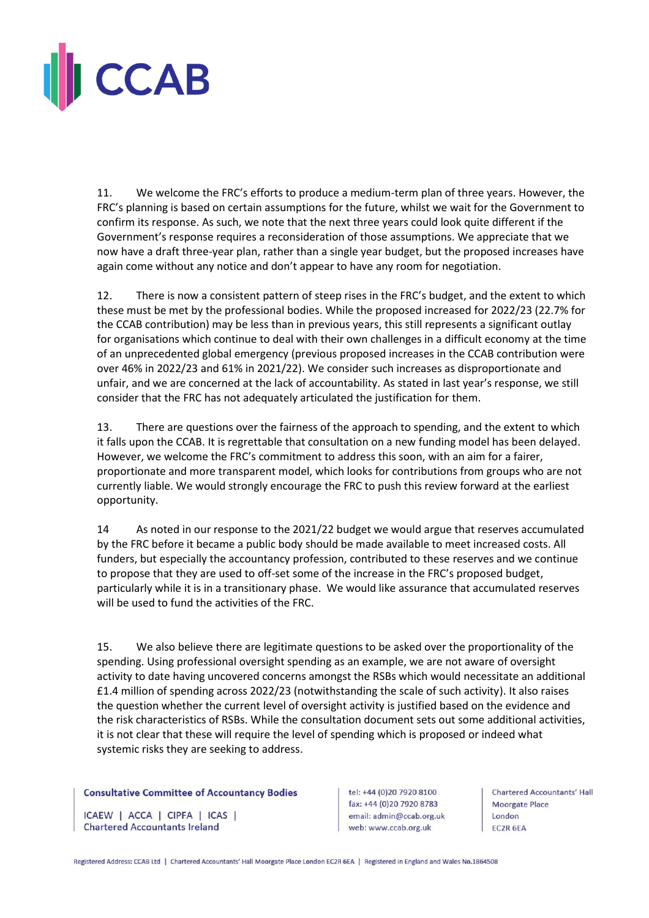

11. We welcome the FRC's efforts to produce a medium-term plan of three years. However, the FRC's planning is based on certain assumptions for the future, whilst we wait for the Government to confirm its response. As such, we note that the next three years could look quite different if the Government's response requires a reconsideration of those assumptions. We appreciate that we now have a draft three-year plan, rather than a single year budget, but the proposed increases have again come without any notice and don't appear to have any room for negotiation.

12. There is now a consistent pattern of steep rises in the FRC's budget, and the extent to which these must be met by the professional bodies. While the proposed increased for 2022/23 (22.7% for the CCAB contribution) may be less than in previous years, this still represents a significant outlay for organisations which continue to deal with their own challenges in a difficult economy at the time of an unprecedented global emergency (previous proposed increases in the CCAB contribution were over 46% in 2022/23 and 61% in 2021/22). We consider such increases as disproportionate and unfair, and we are concerned at the lack of accountability. As stated in last year's response, we still consider that the FRC has not adequately articulated the justification for them.

13. There are questions over the fairness of the approach to spending, and the extent to which it falls upon the CCAB. It is regrettable that consultation on a new funding model has been delayed. However, we welcome the FRC's commitment to address this soon, with an aim for a fairer, proportionate and more transparent model, which looks for contributions from groups who are not currently liable. We would strongly encourage the FRC to push this review forward at the earliest opportunity.

14 As noted in our response to the 2021/22 budget we would argue that reserves accumulated by the FRC before it became a public body should be made available to meet increased costs. All funders, but especially the accountancy profession, contributed to these reserves and we continue to propose that they are used to off-set some of the increase in the FRC's proposed budget, particularly while it is in a transitionary phase. We would like assurance that accumulated reserves will be used to fund the activities of the FRC.

15. We also believe there are legitimate questions to be asked over the proportionality of the spending. Using professional oversight spending as an example, we are not aware of oversight activity to date having uncovered concerns amongst the RSBs which would necessitate an additional £1.4 million of spending across 2022/23 (notwithstanding the scale of such activity). It also raises the question whether the current level of oversight activity is justified based on the evidence and the risk characteristics of RSBs. While the consultation document sets out some additional activities, it is not clear that these will require the level of spending which is proposed or indeed what systemic risks they are seeking to address.

### **Consultative Committee of Accountancy Bodies**

ICAEW | ACCA | CIPFA | ICAS | **Chartered Accountants Ireland** 

tel: +44 (0)20 7920 8100 fax: +44 (0)20 7920 8783 email: admin@ccab.org.uk web: www.ccab.org.uk

**Chartered Accountants' Hall Moorgate Place** London EC2R 6EA